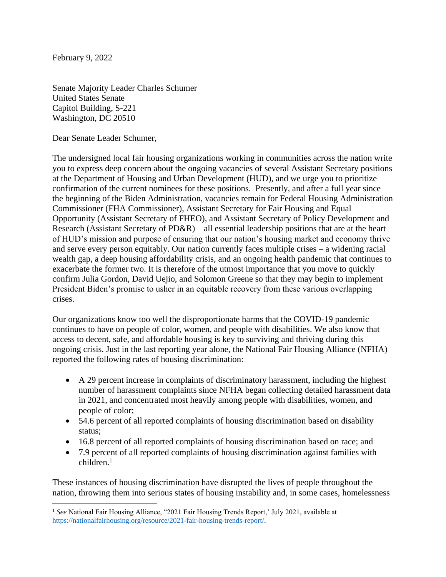February 9, 2022

Senate Majority Leader Charles Schumer United States Senate Capitol Building, S-221 Washington, DC 20510

Dear Senate Leader Schumer,

The undersigned local fair housing organizations working in communities across the nation write you to express deep concern about the ongoing vacancies of several Assistant Secretary positions at the Department of Housing and Urban Development (HUD), and we urge you to prioritize confirmation of the current nominees for these positions. Presently, and after a full year since the beginning of the Biden Administration, vacancies remain for Federal Housing Administration Commissioner (FHA Commissioner), Assistant Secretary for Fair Housing and Equal Opportunity (Assistant Secretary of FHEO), and Assistant Secretary of Policy Development and Research (Assistant Secretary of PD&R) – all essential leadership positions that are at the heart of HUD's mission and purpose of ensuring that our nation's housing market and economy thrive and serve every person equitably. Our nation currently faces multiple crises – a widening racial wealth gap, a deep housing affordability crisis, and an ongoing health pandemic that continues to exacerbate the former two. It is therefore of the utmost importance that you move to quickly confirm Julia Gordon, David Uejio, and Solomon Greene so that they may begin to implement President Biden's promise to usher in an equitable recovery from these various overlapping crises.

Our organizations know too well the disproportionate harms that the COVID-19 pandemic continues to have on people of color, women, and people with disabilities. We also know that access to decent, safe, and affordable housing is key to surviving and thriving during this ongoing crisis. Just in the last reporting year alone, the National Fair Housing Alliance (NFHA) reported the following rates of housing discrimination:

- A 29 percent increase in complaints of discriminatory harassment, including the highest number of harassment complaints since NFHA began collecting detailed harassment data in 2021, and concentrated most heavily among people with disabilities, women, and people of color;
- 54.6 percent of all reported complaints of housing discrimination based on disability status;
- 16.8 percent of all reported complaints of housing discrimination based on race; and
- 7.9 percent of all reported complaints of housing discrimination against families with children. 1

These instances of housing discrimination have disrupted the lives of people throughout the nation, throwing them into serious states of housing instability and, in some cases, homelessness

<sup>&</sup>lt;sup>1</sup> See National Fair Housing Alliance, "2021 Fair Housing Trends Report,' July 2021, available at [https://nationalfairhousing.org/resource/2021-fair-housing-trends-report/.](https://nationalfairhousing.org/resource/2021-fair-housing-trends-report/)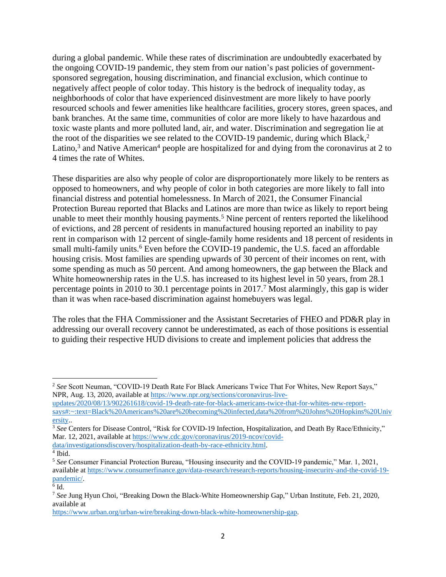during a global pandemic. While these rates of discrimination are undoubtedly exacerbated by the ongoing COVID-19 pandemic, they stem from our nation's past policies of governmentsponsored segregation, housing discrimination, and financial exclusion, which continue to negatively affect people of color today. This history is the bedrock of inequality today, as neighborhoods of color that have experienced disinvestment are more likely to have poorly resourced schools and fewer amenities like healthcare facilities, grocery stores, green spaces, and bank branches. At the same time, communities of color are more likely to have hazardous and toxic waste plants and more polluted land, air, and water. Discrimination and segregation lie at the root of the disparities we see related to the COVID-19 pandemic, during which Black, 2 Latino,<sup>3</sup> and Native American<sup>4</sup> people are hospitalized for and dying from the coronavirus at 2 to 4 times the rate of Whites.

These disparities are also why people of color are disproportionately more likely to be renters as opposed to homeowners, and why people of color in both categories are more likely to fall into financial distress and potential homelessness. In March of 2021, the Consumer Financial Protection Bureau reported that Blacks and Latinos are more than twice as likely to report being unable to meet their monthly housing payments.<sup>5</sup> Nine percent of renters reported the likelihood of evictions, and 28 percent of residents in manufactured housing reported an inability to pay rent in comparison with 12 percent of single-family home residents and 18 percent of residents in small multi-family units.<sup>6</sup> Even before the COVID-19 pandemic, the U.S. faced an affordable housing crisis. Most families are spending upwards of 30 percent of their incomes on rent, with some spending as much as 50 percent. And among homeowners, the gap between the Black and White homeownership rates in the U.S. has increased to its highest level in 50 years, from 28.1 percentage points in 2010 to 30.1 percentage points in 2017.<sup>7</sup> Most alarmingly, this gap is wider than it was when race-based discrimination against homebuyers was legal.

The roles that the FHA Commissioner and the Assistant Secretaries of FHEO and PD&R play in addressing our overall recovery cannot be underestimated, as each of those positions is essential to guiding their respective HUD divisions to create and implement policies that address the

<sup>2</sup> *See* Scott Neuman, "COVID-19 Death Rate For Black Americans Twice That For Whites, New Report Says," NPR, Aug. 13, 2020, available at [https://www.npr.org/sections/coronavirus-live-](https://www.npr.org/sections/coronavirus-live-updates/2020/08/13/902261618/covid-19-death-rate-for-black-americans-twice-that-for-whites-new-report-says#:~:text=Black%20Americans%20are%20becoming%20infected,data%20from%20Johns%20Hopkins%20University)

[updates/2020/08/13/902261618/covid-19-death-rate-for-black-americans-twice-that-for-whites-new-report](https://www.npr.org/sections/coronavirus-live-updates/2020/08/13/902261618/covid-19-death-rate-for-black-americans-twice-that-for-whites-new-report-says#:~:text=Black%20Americans%20are%20becoming%20infected,data%20from%20Johns%20Hopkins%20University)[says#:~:text=Black%20Americans%20are%20becoming%20infected,data%20from%20Johns%20Hopkins%20Univ](https://www.npr.org/sections/coronavirus-live-updates/2020/08/13/902261618/covid-19-death-rate-for-black-americans-twice-that-for-whites-new-report-says#:~:text=Black%20Americans%20are%20becoming%20infected,data%20from%20Johns%20Hopkins%20University) [ersity.](https://www.npr.org/sections/coronavirus-live-updates/2020/08/13/902261618/covid-19-death-rate-for-black-americans-twice-that-for-whites-new-report-says#:~:text=Black%20Americans%20are%20becoming%20infected,data%20from%20Johns%20Hopkins%20University).

<sup>3</sup> *See* Centers for Disease Control, "Risk for COVID-19 Infection, Hospitalization, and Death By Race/Ethnicity," Mar. 12, 2021, available at [https://www.cdc.gov/coronavirus/2019-ncov/covid-](https://www.cdc.gov/coronavirus/2019-ncov/covid-data/investigationsdiscovery/hospitalization-death-by-race-ethnicity.html)

[data/investigationsdiscovery/hospitalization-death-by-race-ethnicity.html.](https://www.cdc.gov/coronavirus/2019-ncov/covid-data/investigationsdiscovery/hospitalization-death-by-race-ethnicity.html)

<sup>4</sup> Ibid.

<sup>5</sup> *See* Consumer Financial Protection Bureau, "Housing insecurity and the COVID-19 pandemic," Mar. 1, 2021, available at [https://www.consumerfinance.gov/data-research/research-reports/housing-insecurity-and-the-covid-19](https://www.consumerfinance.gov/data-research/research-reports/housing-insecurity-and-the-covid-19-pandemic/) [pandemic/.](https://www.consumerfinance.gov/data-research/research-reports/housing-insecurity-and-the-covid-19-pandemic/)

 $6$  Id.

<sup>7</sup> *See* Jung Hyun Choi, "Breaking Down the Black-White Homeownership Gap," Urban Institute, Feb. 21, 2020, available at

[https://www.urban.org/urban-wire/breaking-down-black-white-homeownership-gap.](https://www.urban.org/urban-wire/breaking-down-black-white-homeownership-gap)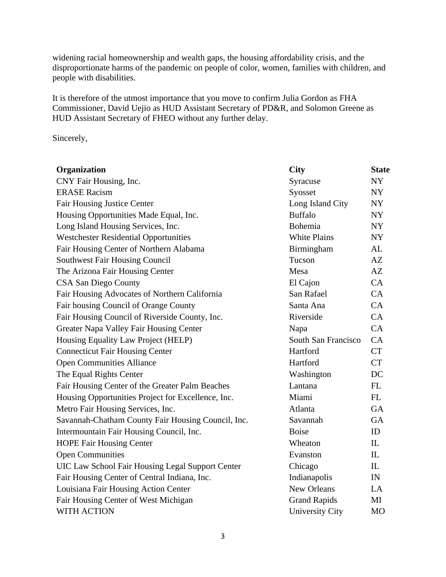widening racial homeownership and wealth gaps, the housing affordability crisis, and the disproportionate harms of the pandemic on people of color, women, families with children, and people with disabilities.

It is therefore of the utmost importance that you move to confirm Julia Gordon as FHA Commissioner, David Uejio as HUD Assistant Secretary of PD&R, and Solomon Greene as HUD Assistant Secretary of FHEO without any further delay.

Sincerely,

| Organization                                       | <b>City</b>            | <b>State</b>   |
|----------------------------------------------------|------------------------|----------------|
| CNY Fair Housing, Inc.                             | Syracuse               | NY             |
| <b>ERASE Racism</b>                                | Syosset                | NY             |
| <b>Fair Housing Justice Center</b>                 | Long Island City       | NY             |
| Housing Opportunities Made Equal, Inc.             | <b>Buffalo</b>         | NY             |
| Long Island Housing Services, Inc.                 | Bohemia                | <b>NY</b>      |
| <b>Westchester Residential Opportunities</b>       | <b>White Plains</b>    | <b>NY</b>      |
| Fair Housing Center of Northern Alabama            | Birmingham             | AL             |
| <b>Southwest Fair Housing Council</b>              | Tucson                 | AZ             |
| The Arizona Fair Housing Center                    | Mesa                   | AZ             |
| <b>CSA San Diego County</b>                        | El Cajon               | CA             |
| Fair Housing Advocates of Northern California      | San Rafael             | CA             |
| Fair housing Council of Orange County              | Santa Ana              | CA             |
| Fair Housing Council of Riverside County, Inc.     | Riverside              | CA             |
| Greater Napa Valley Fair Housing Center            | Napa                   | CA             |
| Housing Equality Law Project (HELP)                | South San Francisco    | CA             |
| <b>Connecticut Fair Housing Center</b>             | Hartford               | <b>CT</b>      |
| <b>Open Communities Alliance</b>                   | Hartford               | <b>CT</b>      |
| The Equal Rights Center                            | Washington             | DC             |
| Fair Housing Center of the Greater Palm Beaches    | Lantana                | FL             |
| Housing Opportunities Project for Excellence, Inc. | Miami                  | FL             |
| Metro Fair Housing Services, Inc.                  | Atlanta                | <b>GA</b>      |
| Savannah-Chatham County Fair Housing Council, Inc. | Savannah               | <b>GA</b>      |
| Intermountain Fair Housing Council, Inc.           | <b>Boise</b>           | ID             |
| <b>HOPE Fair Housing Center</b>                    | Wheaton                | IL             |
| <b>Open Communities</b>                            | Evanston               | IL             |
| UIC Law School Fair Housing Legal Support Center   | Chicago                | IL             |
| Fair Housing Center of Central Indiana, Inc.       | Indianapolis           | IN             |
| Louisiana Fair Housing Action Center               | <b>New Orleans</b>     | LA             |
| Fair Housing Center of West Michigan               | <b>Grand Rapids</b>    | MI             |
| <b>WITH ACTION</b>                                 | <b>University City</b> | M <sub>O</sub> |